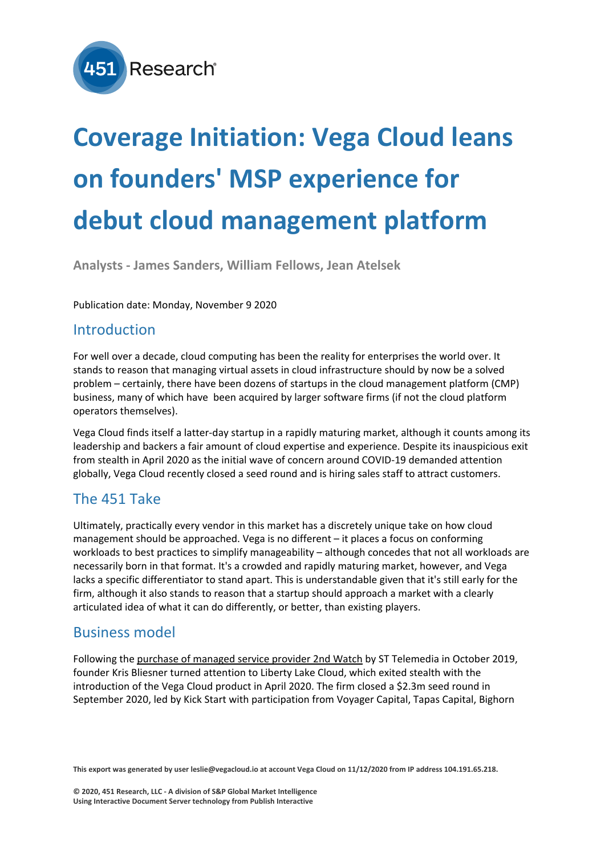

# **Coverage Initiation: Vega Cloud leans on founders' MSP experience for debut cloud management platform**

**Analysts - James Sanders, William Fellows, Jean Atelsek**

Publication date: Monday, November 9 2020

#### Introduction

For well over a decade, cloud computing has been the reality for enterprises the world over. It stands to reason that managing virtual assets in cloud infrastructure should by now be a solved problem – certainly, there have been dozens of startups in the cloud management platform (CMP) business, many of which have been acquired by larger software firms (if not the cloud platform operators themselves).

Vega Cloud finds itself a latter-day startup in a rapidly maturing market, although it counts among its leadership and backers a fair amount of cloud expertise and experience. Despite its inauspicious exit from stealth in April 2020 as the initial wave of concern around COVID-19 demanded attention globally, Vega Cloud recently closed a seed round and is hiring sales staff to attract customers.

## The 451 Take

Ultimately, practically every vendor in this market has a discretely unique take on how cloud management should be approached. Vega is no different – it places a focus on conforming workloads to best practices to simplify manageability – although concedes that not all workloads are necessarily born in that format. It's a crowded and rapidly maturing market, however, and Vega lacks a specific differentiator to stand apart. This is understandable given that it's still early for the firm, although it also stands to reason that a startup should approach a market with a clearly articulated idea of what it can do differently, or better, than existing players.

### Business model

Following the [purchase of managed service provider 2nd Watch](https://makb.451research.com/merger/65313) by ST Telemedia in October 2019, founder Kris Bliesner turned attention to Liberty Lake Cloud, which exited stealth with the introduction of the Vega Cloud product in April 2020. The firm closed a \$2.3m seed round in September 2020, led by Kick Start with participation from Voyager Capital, Tapas Capital, Bighorn

**This export was generated by user leslie@vegacloud.io at account Vega Cloud on 11/12/2020 from IP address 104.191.65.218.**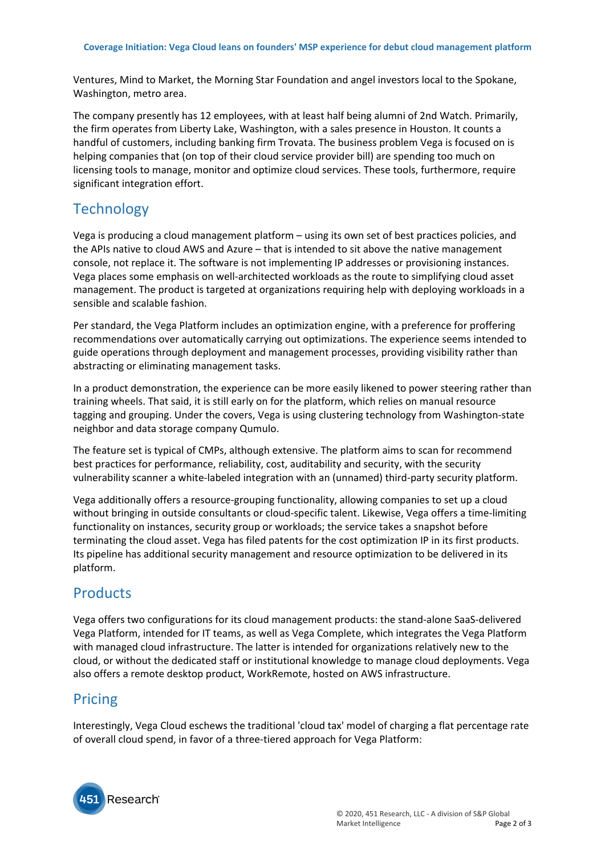Ventures, Mind to Market, the Morning Star Foundation and angel investors local to the Spokane, Washington, metro area.

The company presently has 12 employees, with at least half being alumni of 2nd Watch. Primarily, the firm operates from Liberty Lake, Washington, with a sales presence in Houston. It counts a handful of customers, including banking firm Trovata. The business problem Vega is focused on is helping companies that (on top of their cloud service provider bill) are spending too much on licensing tools to manage, monitor and optimize cloud services. These tools, furthermore, require significant integration effort.

### **Technology**

Vega is producing a cloud management platform – using its own set of best practices policies, and the APIs native to cloud AWS and Azure – that is intended to sit above the native management console, not replace it. The software is not implementing IP addresses or provisioning instances. Vega places some emphasis on well-architected workloads as the route to simplifying cloud asset management. The product is targeted at organizations requiring help with deploying workloads in a sensible and scalable fashion.

Per standard, the Vega Platform includes an optimization engine, with a preference for proffering recommendations over automatically carrying out optimizations. The experience seems intended to guide operations through deployment and management processes, providing visibility rather than abstracting or eliminating management tasks.

In a product demonstration, the experience can be more easily likened to power steering rather than training wheels. That said, it is still early on for the platform, which relies on manual resource tagging and grouping. Under the covers, Vega is using clustering technology from Washington-state neighbor and data storage company Qumulo.

The feature set is typical of CMPs, although extensive. The platform aims to scan for recommend best practices for performance, reliability, cost, auditability and security, with the security vulnerability scanner a white-labeled integration with an (unnamed) third-party security platform.

Vega additionally offers a resource-grouping functionality, allowing companies to set up a cloud without bringing in outside consultants or cloud-specific talent. Likewise, Vega offers a time-limiting functionality on instances, security group or workloads; the service takes a snapshot before terminating the cloud asset. Vega has filed patents for the cost optimization IP in its first products. Its pipeline has additional security management and resource optimization to be delivered in its platform.

### **Products**

Vega offers two configurations for its cloud management products: the stand-alone SaaS-delivered Vega Platform, intended for IT teams, as well as Vega Complete, which integrates the Vega Platform with managed cloud infrastructure. The latter is intended for organizations relatively new to the cloud, or without the dedicated staff or institutional knowledge to manage cloud deployments. Vega also offers a remote desktop product, WorkRemote, hosted on AWS infrastructure.

#### Pricing

Interestingly, Vega Cloud eschews the traditional 'cloud tax' model of charging a flat percentage rate of overall cloud spend, in favor of a three-tiered approach for Vega Platform: